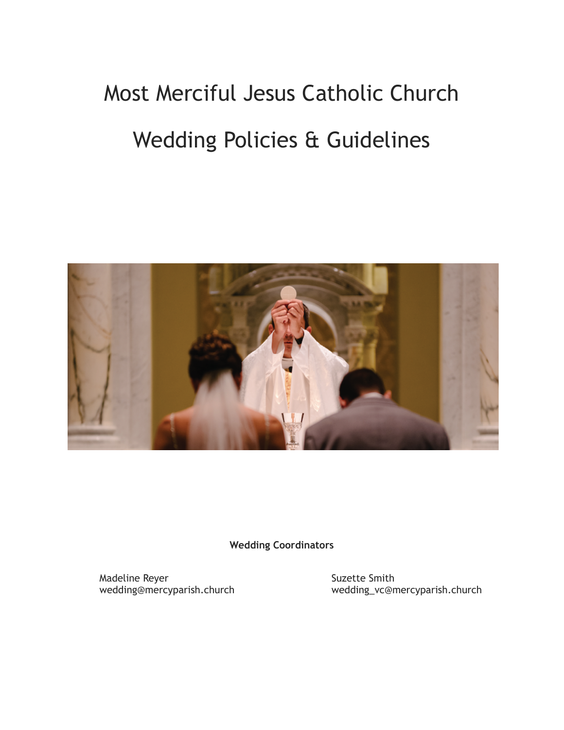# Most Merciful Jesus Catholic Church

# Wedding Policies & Guidelines



**Wedding Coordinators**

Madeline Reyer<br>wedding@mercyparish.church entitled a surface selection of Suzette Smith<br>wedding\_vc@n

wedding\_vc@mercyparish.church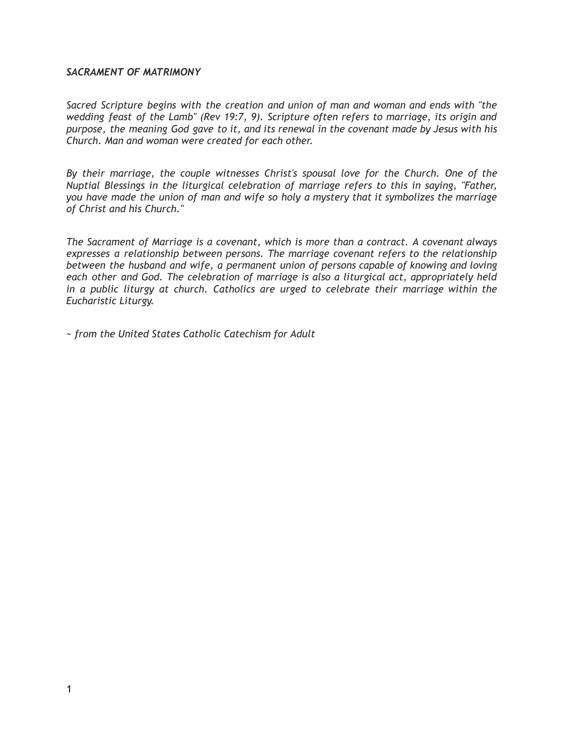#### *SACRAMENT OF MATRIMONY*

*Sacred Scripture begins with the creation and union of man and woman and ends with "the wedding feast of the Lamb" (Rev 19:7, 9). Scripture often refers to marriage, its origin and purpose, the meaning God gave to it, and its renewal in the covenant made by Jesus with his Church. Man and woman were created for each other.*

*By their marriage, the couple witnesses Christ's spousal love for the Church. One of the Nuptial Blessings in the liturgical celebration of marriage refers to this in saying, "Father, you have made the union of man and wife so holy a mystery that it symbolizes the marriage of Christ and his Church."*

*The Sacrament of Marriage is a covenant, which is more than a contract. A covenant always expresses a relationship between persons. The marriage covenant refers to the relationship between the husband and wife, a permanent union of persons capable of knowing and loving each other and God. The celebration of marriage is also a liturgical act, appropriately held in a public liturgy at church. Catholics are urged to celebrate their marriage within the Eucharistic Liturgy.*

*~ from the United States Catholic Catechism for Adult*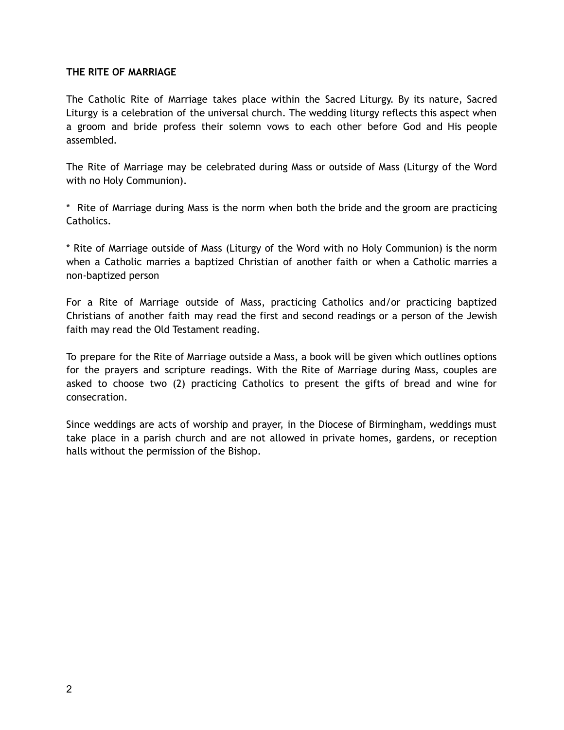# **THE RITE OF MARRIAGE**

The Catholic Rite of Marriage takes place within the Sacred Liturgy. By its nature, Sacred Liturgy is a celebration of the universal church. The wedding liturgy reflects this aspect when a groom and bride profess their solemn vows to each other before God and His people assembled.

The Rite of Marriage may be celebrated during Mass or outside of Mass (Liturgy of the Word with no Holy Communion).

\* Rite of Marriage during Mass is the norm when both the bride and the groom are practicing Catholics.

\* Rite of Marriage outside of Mass (Liturgy of the Word with no Holy Communion) is the norm when a Catholic marries a baptized Christian of another faith or when a Catholic marries a non-baptized person

For a Rite of Marriage outside of Mass, practicing Catholics and/or practicing baptized Christians of another faith may read the first and second readings or a person of the Jewish faith may read the Old Testament reading.

To prepare for the Rite of Marriage outside a Mass, a book will be given which outlines options for the prayers and scripture readings. With the Rite of Marriage during Mass, couples are asked to choose two (2) practicing Catholics to present the gifts of bread and wine for consecration.

Since weddings are acts of worship and prayer, in the Diocese of Birmingham, weddings must take place in a parish church and are not allowed in private homes, gardens, or reception halls without the permission of the Bishop.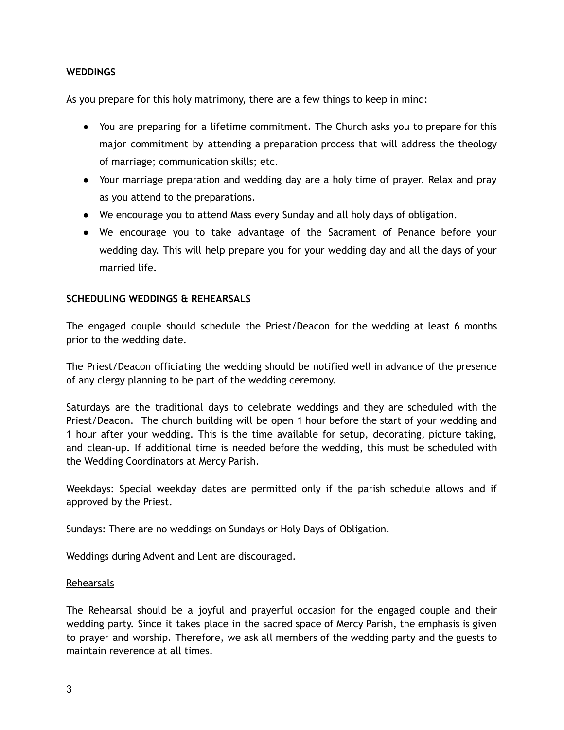# **WEDDINGS**

As you prepare for this holy matrimony, there are a few things to keep in mind:

- You are preparing for a lifetime commitment. The Church asks you to prepare for this major commitment by attending a preparation process that will address the theology of marriage; communication skills; etc.
- Your marriage preparation and wedding day are a holy time of prayer. Relax and pray as you attend to the preparations.
- We encourage you to attend Mass every Sunday and all holy days of obligation.
- We encourage you to take advantage of the Sacrament of Penance before your wedding day. This will help prepare you for your wedding day and all the days of your married life.

# **SCHEDULING WEDDINGS & REHEARSALS**

The engaged couple should schedule the Priest/Deacon for the wedding at least 6 months prior to the wedding date.

The Priest/Deacon officiating the wedding should be notified well in advance of the presence of any clergy planning to be part of the wedding ceremony.

Saturdays are the traditional days to celebrate weddings and they are scheduled with the Priest/Deacon. The church building will be open 1 hour before the start of your wedding and 1 hour after your wedding. This is the time available for setup, decorating, picture taking, and clean-up. If additional time is needed before the wedding, this must be scheduled with the Wedding Coordinators at Mercy Parish.

Weekdays: Special weekday dates are permitted only if the parish schedule allows and if approved by the Priest.

Sundays: There are no weddings on Sundays or Holy Days of Obligation.

Weddings during Advent and Lent are discouraged.

#### **Rehearsals**

The Rehearsal should be a joyful and prayerful occasion for the engaged couple and their wedding party. Since it takes place in the sacred space of Mercy Parish, the emphasis is given to prayer and worship. Therefore, we ask all members of the wedding party and the guests to maintain reverence at all times.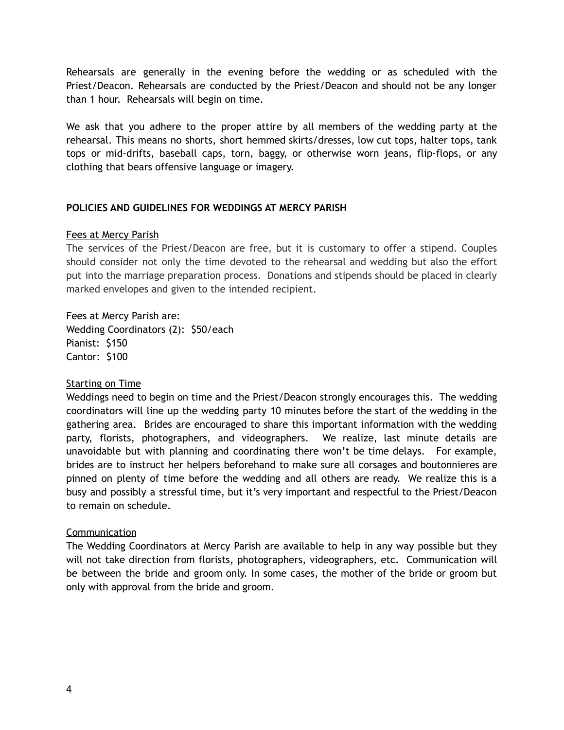Rehearsals are generally in the evening before the wedding or as scheduled with the Priest/Deacon. Rehearsals are conducted by the Priest/Deacon and should not be any longer than 1 hour. Rehearsals will begin on time.

We ask that you adhere to the proper attire by all members of the wedding party at the rehearsal. This means no shorts, short hemmed skirts/dresses, low cut tops, halter tops, tank tops or mid-drifts, baseball caps, torn, baggy, or otherwise worn jeans, flip-flops, or any clothing that bears offensive language or imagery.

# **POLICIES AND GUIDELINES FOR WEDDINGS AT MERCY PARISH**

# Fees at Mercy Parish

The services of the Priest/Deacon are free, but it is customary to offer a stipend. Couples should consider not only the time devoted to the rehearsal and wedding but also the effort put into the marriage preparation process. Donations and stipends should be placed in clearly marked envelopes and given to the intended recipient.

Fees at Mercy Parish are: Wedding Coordinators (2): \$50/each Pianist: \$150 Cantor: \$100

# **Starting on Time**

Weddings need to begin on time and the Priest/Deacon strongly encourages this. The wedding coordinators will line up the wedding party 10 minutes before the start of the wedding in the gathering area. Brides are encouraged to share this important information with the wedding party, florists, photographers, and videographers. We realize, last minute details are unavoidable but with planning and coordinating there won't be time delays. For example, brides are to instruct her helpers beforehand to make sure all corsages and boutonnieres are pinned on plenty of time before the wedding and all others are ready. We realize this is a busy and possibly a stressful time, but it's very important and respectful to the Priest/Deacon to remain on schedule.

# Communication

The Wedding Coordinators at Mercy Parish are available to help in any way possible but they will not take direction from florists, photographers, videographers, etc. Communication will be between the bride and groom only. In some cases, the mother of the bride or groom but only with approval from the bride and groom.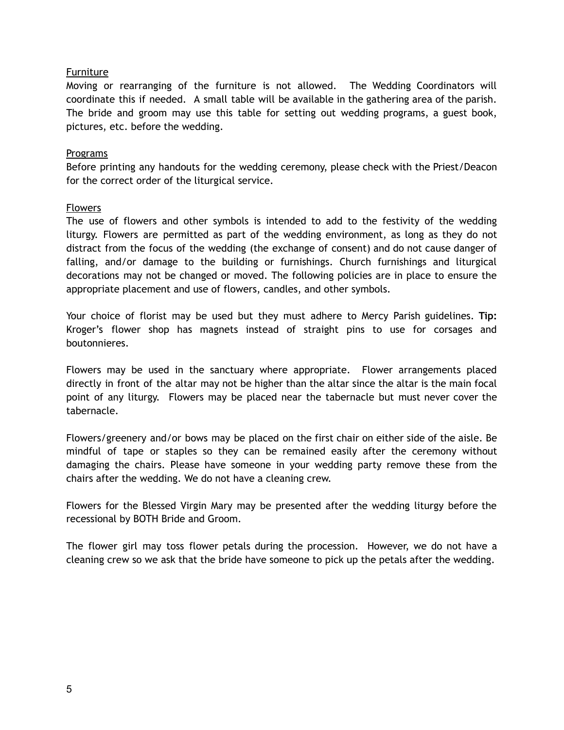# Furniture

Moving or rearranging of the furniture is not allowed. The Wedding Coordinators will coordinate this if needed. A small table will be available in the gathering area of the parish. The bride and groom may use this table for setting out wedding programs, a guest book, pictures, etc. before the wedding.

#### Programs

Before printing any handouts for the wedding ceremony, please check with the Priest/Deacon for the correct order of the liturgical service.

#### Flowers

The use of flowers and other symbols is intended to add to the festivity of the wedding liturgy. Flowers are permitted as part of the wedding environment, as long as they do not distract from the focus of the wedding (the exchange of consent) and do not cause danger of falling, and/or damage to the building or furnishings. Church furnishings and liturgical decorations may not be changed or moved. The following policies are in place to ensure the appropriate placement and use of flowers, candles, and other symbols.

Your choice of florist may be used but they must adhere to Mercy Parish guidelines. **Tip:** Kroger's flower shop has magnets instead of straight pins to use for corsages and boutonnieres.

Flowers may be used in the sanctuary where appropriate. Flower arrangements placed directly in front of the altar may not be higher than the altar since the altar is the main focal point of any liturgy. Flowers may be placed near the tabernacle but must never cover the tabernacle.

Flowers/greenery and/or bows may be placed on the first chair on either side of the aisle. Be mindful of tape or staples so they can be remained easily after the ceremony without damaging the chairs. Please have someone in your wedding party remove these from the chairs after the wedding. We do not have a cleaning crew.

Flowers for the Blessed Virgin Mary may be presented after the wedding liturgy before the recessional by BOTH Bride and Groom.

The flower girl may toss flower petals during the procession. However, we do not have a cleaning crew so we ask that the bride have someone to pick up the petals after the wedding.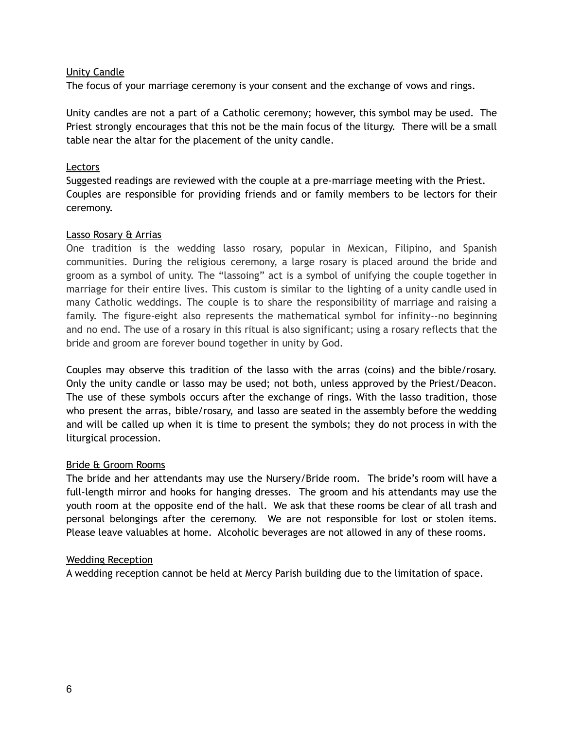# Unity Candle

The focus of your marriage ceremony is your consent and the exchange of vows and rings.

Unity candles are not a part of a Catholic ceremony; however, this symbol may be used. The Priest strongly encourages that this not be the main focus of the liturgy. There will be a small table near the altar for the placement of the unity candle.

# Lectors

Suggested readings are reviewed with the couple at a pre-marriage meeting with the Priest. Couples are responsible for providing friends and or family members to be lectors for their ceremony.

#### Lasso Rosary & Arrias

One tradition is the wedding lasso rosary, popular in Mexican, Filipino, and Spanish communities. During the religious ceremony, a large rosary is placed around the bride and groom as a symbol of unity. The "lassoing" act is a symbol of unifying the couple together in marriage for their entire lives. This custom is similar to the lighting of a unity candle used in many Catholic weddings. The couple is to share the responsibility of marriage and raising a family. The figure-eight also represents the mathematical symbol for infinity--no beginning and no end. The use of a rosary in this ritual is also significant; using a rosary reflects that the bride and groom are forever bound together in unity by God.

Couples may observe this tradition of the lasso with the arras (coins) and the bible/rosary. Only the unity candle or lasso may be used; not both, unless approved by the Priest/Deacon. The use of these symbols occurs after the exchange of rings. With the lasso tradition, those who present the arras, bible/rosary, and lasso are seated in the assembly before the wedding and will be called up when it is time to present the symbols; they do not process in with the liturgical procession.

# Bride & Groom Rooms

The bride and her attendants may use the Nursery/Bride room. The bride's room will have a full-length mirror and hooks for hanging dresses. The groom and his attendants may use the youth room at the opposite end of the hall. We ask that these rooms be clear of all trash and personal belongings after the ceremony. We are not responsible for lost or stolen items. Please leave valuables at home. Alcoholic beverages are not allowed in any of these rooms.

# Wedding Reception

A wedding reception cannot be held at Mercy Parish building due to the limitation of space.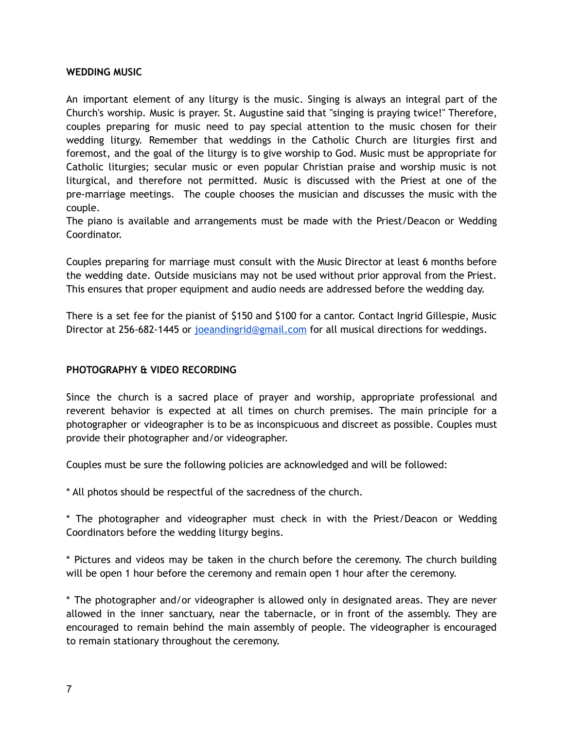## **WEDDING MUSIC**

An important element of any liturgy is the music. Singing is always an integral part of the Church's worship. Music is prayer. St. Augustine said that "singing is praying twice!" Therefore, couples preparing for music need to pay special attention to the music chosen for their wedding liturgy. Remember that weddings in the Catholic Church are liturgies first and foremost, and the goal of the liturgy is to give worship to God. Music must be appropriate for Catholic liturgies; secular music or even popular Christian praise and worship music is not liturgical, and therefore not permitted. Music is discussed with the Priest at one of the pre-marriage meetings. The couple chooses the musician and discusses the music with the couple.

The piano is available and arrangements must be made with the Priest/Deacon or Wedding Coordinator.

Couples preparing for marriage must consult with the Music Director at least 6 months before the wedding date. Outside musicians may not be used without prior approval from the Priest. This ensures that proper equipment and audio needs are addressed before the wedding day.

There is a set fee for the pianist of \$150 and \$100 for a cantor. Contact Ingrid Gillespie, Music Director at 256-682-1445 or joeandingrid@gmail.com for all musical directions for weddings.

# **PHOTOGRAPHY & VIDEO RECORDING**

Since the church is a sacred place of prayer and worship, appropriate professional and reverent behavior is expected at all times on church premises. The main principle for a photographer or videographer is to be as inconspicuous and discreet as possible. Couples must provide their photographer and/or videographer.

Couples must be sure the following policies are acknowledged and will be followed:

\* All photos should be respectful of the sacredness of the church.

\* The photographer and videographer must check in with the Priest/Deacon or Wedding Coordinators before the wedding liturgy begins.

\* Pictures and videos may be taken in the church before the ceremony. The church building will be open 1 hour before the ceremony and remain open 1 hour after the ceremony.

\* The photographer and/or videographer is allowed only in designated areas. They are never allowed in the inner sanctuary, near the tabernacle, or in front of the assembly. They are encouraged to remain behind the main assembly of people. The videographer is encouraged to remain stationary throughout the ceremony.